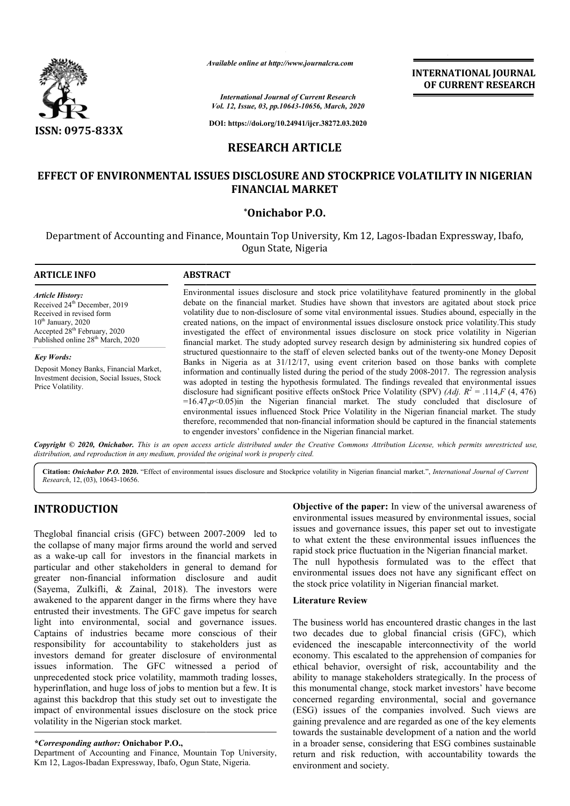

*Available online at http://www.journalcra.com*

# **RESEARCH ARTICLE**

## **EFFECT OF ENVIRONMENTAL ISSUES DISCLOSURE AND STOCKPRICE VOLATILITY IN NIGERIAN FINANCIAL MARKET**

### **\*Onichabor P.O.**

|                                                                                                                                                                                                                                                                                                                                                                                                                                                                                                                                                                                                                                                                                      |                                                                                                                                                                                                                                                                                                                                                                                                                                                                                                                                                                                                                                                                                                                                                                                                                                                                                                                 | <b>INTERNATIONAL JOURNAL</b><br>OF CURRENT RESEARCH                                                                                                                                                                                                                                                                                                                                                                                                                                                                                                                                                                                                                                                             |  |  |
|--------------------------------------------------------------------------------------------------------------------------------------------------------------------------------------------------------------------------------------------------------------------------------------------------------------------------------------------------------------------------------------------------------------------------------------------------------------------------------------------------------------------------------------------------------------------------------------------------------------------------------------------------------------------------------------|-----------------------------------------------------------------------------------------------------------------------------------------------------------------------------------------------------------------------------------------------------------------------------------------------------------------------------------------------------------------------------------------------------------------------------------------------------------------------------------------------------------------------------------------------------------------------------------------------------------------------------------------------------------------------------------------------------------------------------------------------------------------------------------------------------------------------------------------------------------------------------------------------------------------|-----------------------------------------------------------------------------------------------------------------------------------------------------------------------------------------------------------------------------------------------------------------------------------------------------------------------------------------------------------------------------------------------------------------------------------------------------------------------------------------------------------------------------------------------------------------------------------------------------------------------------------------------------------------------------------------------------------------|--|--|
|                                                                                                                                                                                                                                                                                                                                                                                                                                                                                                                                                                                                                                                                                      |                                                                                                                                                                                                                                                                                                                                                                                                                                                                                                                                                                                                                                                                                                                                                                                                                                                                                                                 | <b>International Journal of Current Research</b><br>Vol. 12, Issue, 03, pp.10643-10656, March, 2020                                                                                                                                                                                                                                                                                                                                                                                                                                                                                                                                                                                                             |  |  |
| <b>ISSN: 0975-833X</b>                                                                                                                                                                                                                                                                                                                                                                                                                                                                                                                                                                                                                                                               |                                                                                                                                                                                                                                                                                                                                                                                                                                                                                                                                                                                                                                                                                                                                                                                                                                                                                                                 | DOI: https://doi.org/10.24941/ijcr.38272.03.2020                                                                                                                                                                                                                                                                                                                                                                                                                                                                                                                                                                                                                                                                |  |  |
|                                                                                                                                                                                                                                                                                                                                                                                                                                                                                                                                                                                                                                                                                      |                                                                                                                                                                                                                                                                                                                                                                                                                                                                                                                                                                                                                                                                                                                                                                                                                                                                                                                 | <b>RESEARCH ARTICLE</b>                                                                                                                                                                                                                                                                                                                                                                                                                                                                                                                                                                                                                                                                                         |  |  |
|                                                                                                                                                                                                                                                                                                                                                                                                                                                                                                                                                                                                                                                                                      |                                                                                                                                                                                                                                                                                                                                                                                                                                                                                                                                                                                                                                                                                                                                                                                                                                                                                                                 | EFFECT OF ENVIRONMENTAL ISSUES DISCLOSURE AND STOCKPRICE VOLATILITY IN NIGERIAN<br><b>FINANCIAL MARKET</b>                                                                                                                                                                                                                                                                                                                                                                                                                                                                                                                                                                                                      |  |  |
|                                                                                                                                                                                                                                                                                                                                                                                                                                                                                                                                                                                                                                                                                      |                                                                                                                                                                                                                                                                                                                                                                                                                                                                                                                                                                                                                                                                                                                                                                                                                                                                                                                 | *Onichabor P.O.                                                                                                                                                                                                                                                                                                                                                                                                                                                                                                                                                                                                                                                                                                 |  |  |
|                                                                                                                                                                                                                                                                                                                                                                                                                                                                                                                                                                                                                                                                                      |                                                                                                                                                                                                                                                                                                                                                                                                                                                                                                                                                                                                                                                                                                                                                                                                                                                                                                                 | Department of Accounting and Finance, Mountain Top University, Km 12, Lagos-Ibadan Expressway, Ibafo,<br>Ogun State, Nigeria                                                                                                                                                                                                                                                                                                                                                                                                                                                                                                                                                                                    |  |  |
| <b>ARTICLE INFO</b>                                                                                                                                                                                                                                                                                                                                                                                                                                                                                                                                                                                                                                                                  | <b>ABSTRACT</b>                                                                                                                                                                                                                                                                                                                                                                                                                                                                                                                                                                                                                                                                                                                                                                                                                                                                                                 |                                                                                                                                                                                                                                                                                                                                                                                                                                                                                                                                                                                                                                                                                                                 |  |  |
| <b>Article History:</b><br>Received 24 <sup>th</sup> December, 2019<br>Received in revised form<br>$10^{th}$ January, 2020<br>Accepted $28^{th}$ February, 2020<br>Published online $28^{th}$ March, 2020                                                                                                                                                                                                                                                                                                                                                                                                                                                                            | Environmental issues disclosure and stock price volatilityhave featured prominently in the global<br>debate on the financial market. Studies have shown that investors are agitated about stock price<br>volatility due to non-disclosure of some vital environmental issues. Studies abound, especially in the<br>created nations, on the impact of environmental issues disclosure onstock price volatility. This study<br>investigated the effect of environmental issues disclosure on stock price volatility in Nigerian<br>financial market. The study adopted survey research design by administering six hundred copies of                                                                                                                                                                                                                                                                              |                                                                                                                                                                                                                                                                                                                                                                                                                                                                                                                                                                                                                                                                                                                 |  |  |
| <b>Key Words:</b><br>Deposit Money Banks, Financial Market,<br>Investment decision, Social Issues, Stock<br>Price Volatility.                                                                                                                                                                                                                                                                                                                                                                                                                                                                                                                                                        | structured questionnaire to the staff of eleven selected banks out of the twenty-one Money Deposit<br>Banks in Nigeria as at 31/12/17, using event criterion based on those banks with complete<br>information and continually listed during the period of the study 2008-2017. The regression analysis<br>was adopted in testing the hypothesis formulated. The findings revealed that environmental issues<br>disclosure had significant positive effects on Stock Price Volatility (SPV) (Adj. $R^2 = .114$ , F (4, 476)<br>$=16.47, p<0.05$ ) in the Nigerian financial market. The study concluded that disclosure of<br>environmental issues influenced Stock Price Volatility in the Nigerian financial market. The study<br>therefore, recommended that non-financial information should be captured in the financial statements<br>to engender investors' confidence in the Nigerian financial market. |                                                                                                                                                                                                                                                                                                                                                                                                                                                                                                                                                                                                                                                                                                                 |  |  |
| distribution, and reproduction in any medium, provided the original work is properly cited.                                                                                                                                                                                                                                                                                                                                                                                                                                                                                                                                                                                          |                                                                                                                                                                                                                                                                                                                                                                                                                                                                                                                                                                                                                                                                                                                                                                                                                                                                                                                 | Copyright © 2020, Onichabor. This is an open access article distributed under the Creative Commons Attribution License, which permits unrestricted use,                                                                                                                                                                                                                                                                                                                                                                                                                                                                                                                                                         |  |  |
| Research, 12, (03), 10643-10656.                                                                                                                                                                                                                                                                                                                                                                                                                                                                                                                                                                                                                                                     |                                                                                                                                                                                                                                                                                                                                                                                                                                                                                                                                                                                                                                                                                                                                                                                                                                                                                                                 | Citation: Onichabor P.O. 2020. "Effect of environmental issues disclosure and Stockprice volatility in Nigerian financial market.", International Journal of Current                                                                                                                                                                                                                                                                                                                                                                                                                                                                                                                                            |  |  |
| <b>INTRODUCTION</b><br>Theglobal financial crisis (GFC) between 2007-2009 led to<br>the collapse of many major firms around the world and served<br>as a wake-up call for investors in the financial markets in<br>particular and other stakeholders in general to demand for                                                                                                                                                                                                                                                                                                                                                                                                        |                                                                                                                                                                                                                                                                                                                                                                                                                                                                                                                                                                                                                                                                                                                                                                                                                                                                                                                 | Objective of the paper: In view of the universal awareness of<br>environmental issues measured by environmental issues, social<br>issues and governance issues, this paper set out to investigate<br>to what extent the these environmental issues influences the<br>rapid stock price fluctuation in the Nigerian financial market.<br>The null hypothesis formulated was to the effect that<br>environmental issues does not have any significant effect on                                                                                                                                                                                                                                                   |  |  |
| greater non-financial information disclosure and<br>(Sayema, Zulkifli, & Zainal, 2018). The investors were<br>awakened to the apparent danger in the firms where they have                                                                                                                                                                                                                                                                                                                                                                                                                                                                                                           | audit                                                                                                                                                                                                                                                                                                                                                                                                                                                                                                                                                                                                                                                                                                                                                                                                                                                                                                           | the stock price volatility in Nigerian financial market.<br><b>Literature Review</b>                                                                                                                                                                                                                                                                                                                                                                                                                                                                                                                                                                                                                            |  |  |
| entrusted their investments. The GFC gave impetus for search<br>light into environmental, social and governance issues.<br>Captains of industries became more conscious of their<br>responsibility for accountability to stakeholders just as<br>investors demand for greater disclosure of environmental<br>issues information. The GFC witnessed a period of<br>unprecedented stock price volatility, mammoth trading losses,<br>hyperinflation, and huge loss of jobs to mention but a few. It is<br>against this backdrop that this study set out to investigate the<br>impact of environmental issues disclosure on the stock price<br>volatility in the Nigerian stock market. |                                                                                                                                                                                                                                                                                                                                                                                                                                                                                                                                                                                                                                                                                                                                                                                                                                                                                                                 | The business world has encountered drastic changes in the last<br>two decades due to global financial crisis (GFC), which<br>evidenced the inescapable interconnectivity of the world<br>economy. This escalated to the apprehension of companies for<br>ethical behavior, oversight of risk, accountability and the<br>ability to manage stakeholders strategically. In the process of<br>this monumental change, stock market investors' have become<br>concerned regarding environmental, social and governance<br>(ESG) issues of the companies involved. Such views are<br>gaining prevalence and are regarded as one of the key elements<br>towards the sustainable development of a nation and the world |  |  |
| *Corresponding author: Onichabor P.O.,<br>Department of Accounting and Finance, Mountain Top University,                                                                                                                                                                                                                                                                                                                                                                                                                                                                                                                                                                             |                                                                                                                                                                                                                                                                                                                                                                                                                                                                                                                                                                                                                                                                                                                                                                                                                                                                                                                 | in a broader sense, considering that ESG combines sustainable<br>return and risk reduction, with accountability towards the                                                                                                                                                                                                                                                                                                                                                                                                                                                                                                                                                                                     |  |  |

# **INTRODUCTION**

Department of Accounting and Finance, Mountain Top University, Km 12, Lagos-Ibadan Expressway, Ibafo, Ogun State, Nigeria.

### **Literature Review**

The business world has encountered drastic changes in the last two decades due to global financial crisis (GFC), which evidenced the inescapable interconnectivity of the world economy. This escalated to the apprehension of companies for ethical behavior, oversight of risk, accountability and the ability to manage stakeholders strategically. In the process of this monumental change, stock market investors' have bec concerned regarding environmental, social and governance (ESG) issues of the companies involved. Such views are gaining prevalence and are regarded as one of the key elements towards the sustainable development of a nation and the world in a broader sense, considering that ESG combines sustainable return and risk reduction, with accountability towards the environment and society. the stock price volatility in Nigerian financial market.<br>
Literature Review<br>
The business world has encountered drastic changes in the last<br>
two decades due to global financial crisis (GFC), which<br>
evidenced the inescapabl nomy. This escalated to the apprehension of companies for cal behavior, oversight of risk, accountability and the ty to manage stakeholders strategically. In the process of monumental change, stock market investors' have b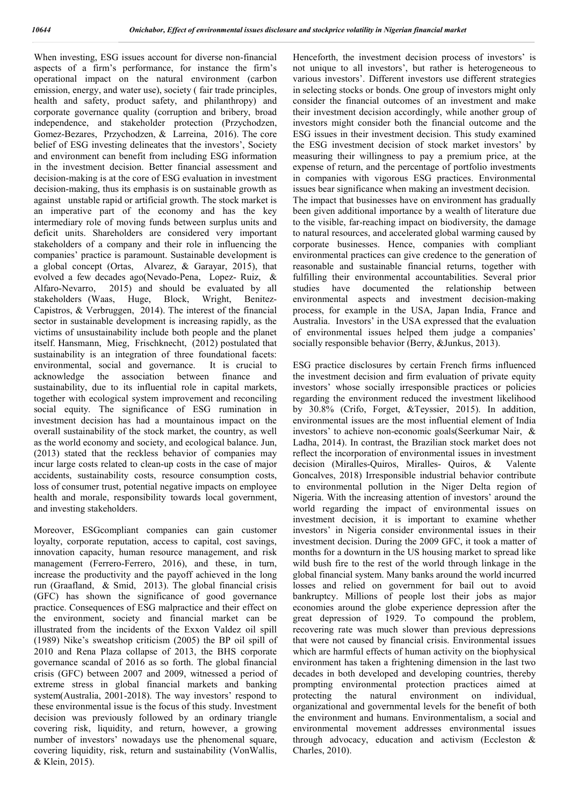When investing, ESG issues account for diverse non-financial aspects of a firm's performance, for instance the firm's operational impact on the natural environment (carbon emission, energy, and water use), society ( fair trade principles, health and safety, product safety, and philanthropy) and corporate governance quality (corruption and bribery, broad independence, and stakeholder protection (Przychodzen, Gomez-Bezares, Przychodzen, & Larreina, 2016). The core belief of ESG investing delineates that the investors', Society and environment can benefit from including ESG information in the investment decision. Better financial assessment and decision-making is at the core of ESG evaluation in investment decision-making, thus its emphasis is on sustainable growth as against unstable rapid or artificial growth. The stock market is an imperative part of the economy and has the key intermediary role of moving funds between surplus units and deficit units. Shareholders are considered very important stakeholders of a company and their role in influencing the companies' practice is paramount. Sustainable development is a global concept (Ortas, Alvarez, & Garayar, 2015), that evolved a few decades ago(Nevado-Pena, Lopez- Ruiz, & Alfaro-Nevarro, 2015) and should be evaluated by all stakeholders (Waas, Huge, Block, Wright, Benitez-Capistros, & Verbruggen, 2014). The interest of the financial sector in sustainable development is increasing rapidly, as the victims of unsustainability include both people and the planet itself. Hansmann, Mieg, Frischknecht, (2012) postulated that sustainability is an integration of three foundational facets: environmental, social and governance. It is crucial to acknowledge the association between finance and sustainability, due to its influential role in capital markets, together with ecological system improvement and reconciling social equity. The significance of ESG rumination in investment decision has had a mountainous impact on the overall sustainability of the stock market, the country, as well as the world economy and society, and ecological balance. Jun, (2013) stated that the reckless behavior of companies may incur large costs related to clean-up costs in the case of major accidents, sustainability costs, resource consumption costs, loss of consumer trust, potential negative impacts on employee health and morale, responsibility towards local government, and investing stakeholders.

Moreover, ESGcompliant companies can gain customer loyalty, corporate reputation, access to capital, cost savings, innovation capacity, human resource management, and risk management (Ferrero-Ferrero, 2016), and these, in turn, increase the productivity and the payoff achieved in the long run (Graafland, & Smid, 2013). The global financial crisis (GFC) has shown the significance of good governance practice. Consequences of ESG malpractice and their effect on the environment, society and financial market can be illustrated from the incidents of the Exxon Valdez oil spill (1989) Nike's sweatshop criticism (2005) the BP oil spill of 2010 and Rena Plaza collapse of 2013, the BHS corporate governance scandal of 2016 as so forth. The global financial crisis (GFC) between 2007 and 2009, witnessed a period of extreme stress in global financial markets and banking system(Australia, 2001-2018). The way investors' respond to these environmental issue is the focus of this study. Investment decision was previously followed by an ordinary triangle covering risk, liquidity, and return, however, a growing number of investors' nowadays use the phenomenal square, covering liquidity, risk, return and sustainability (VonWallis, & Klein, 2015).

Henceforth, the investment decision process of investors' is not unique to all investors', but rather is heterogeneous to various investors'. Different investors use different strategies in selecting stocks or bonds. One group of investors might only consider the financial outcomes of an investment and make their investment decision accordingly, while another group of investors might consider both the financial outcome and the ESG issues in their investment decision. This study examined the ESG investment decision of stock market investors' by measuring their willingness to pay a premium price, at the expense of return, and the percentage of portfolio investments in companies with vigorous ESG practices. Environmental issues bear significance when making an investment decision. The impact that businesses have on environment has gradually been given additional importance by a wealth of literature due to the visible, far-reaching impact on biodiversity, the damage to natural resources, and accelerated global warming caused by corporate businesses. Hence, companies with compliant environmental practices can give credence to the generation of reasonable and sustainable financial returns, together with fulfilling their environmental accountabilities. Several prior studies have documented the relationship between environmental aspects and investment decision-making process, for example in the USA, Japan India, France and Australia. Investors' in the USA expressed that the evaluation of environmental issues helped them judge a companies' socially responsible behavior (Berry, &Junkus, 2013).

ESG practice disclosures by certain French firms influenced the investment decision and firm evaluation of private equity investors' whose socially irresponsible practices or policies regarding the environment reduced the investment likelihood by 30.8% (Crifo, Forget, &Teyssier, 2015). In addition, environmental issues are the most influential element of India investors' to achieve non-economic goals(Seerkumar Nair, & Ladha, 2014). In contrast, the Brazilian stock market does not reflect the incorporation of environmental issues in investment decision (Miralles-Quiros, Miralles- Quiros, & Valente Goncalves, 2018) Irresponsible industrial behavior contribute to environmental pollution in the Niger Delta region of Nigeria. With the increasing attention of investors' around the world regarding the impact of environmental issues on investment decision, it is important to examine whether investors' in Nigeria consider environmental issues in their investment decision. During the 2009 GFC, it took a matter of months for a downturn in the US housing market to spread like wild bush fire to the rest of the world through linkage in the global financial system. Many banks around the world incurred losses and relied on government for bail out to avoid bankruptcy. Millions of people lost their jobs as major economies around the globe experience depression after the great depression of 1929. To compound the problem, recovering rate was much slower than previous depressions that were not caused by financial crisis. Environmental issues which are harmful effects of human activity on the biophysical environment has taken a frightening dimension in the last two decades in both developed and developing countries, thereby prompting environmental protection practices aimed at protecting the natural environment on individual, organizational and governmental levels for the benefit of both the environment and humans. Environmentalism, a social and environmental movement addresses environmental issues through advocacy, education and activism (Eccleston & Charles, 2010).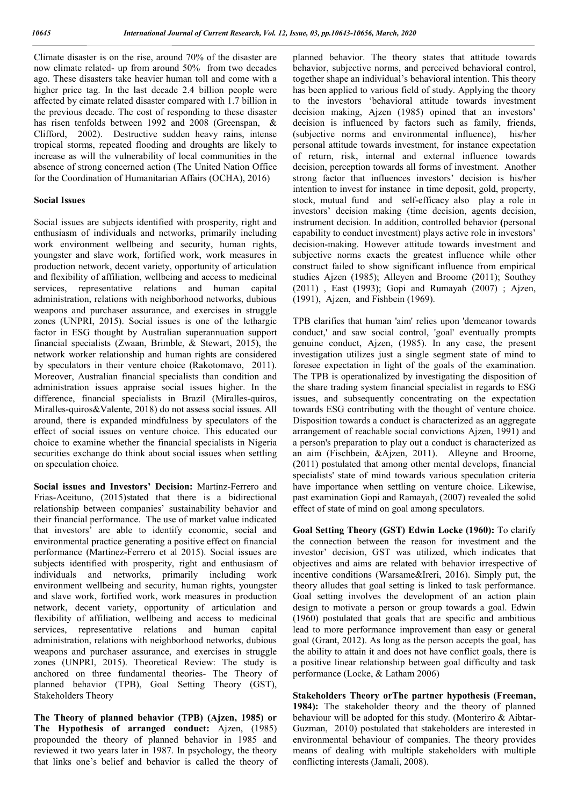Climate disaster is on the rise, around 70% of the disaster are now climate related- up from around 50% from two decades ago. These disasters take heavier human toll and come with a higher price tag. In the last decade 2.4 billion people were affected by cimate related disaster compared with 1.7 billion in the previous decade. The cost of responding to these disaster has risen tenfolds between 1992 and 2008 (Greenspan, & Clifford, 2002). Destructive sudden heavy rains, intense tropical storms, repeated flooding and droughts are likely to increase as will the vulnerability of local communities in the absence of strong concerned action (The United Nation Office for the Coordination of Humanitarian Affairs (OCHA), 2016)

### **Social Issues**

Social issues are subjects identified with prosperity, right and enthusiasm of individuals and networks, primarily including work environment wellbeing and security, human rights, youngster and slave work, fortified work, work measures in production network, decent variety, opportunity of articulation and flexibility of affiliation, wellbeing and access to medicinal services, representative relations and human capital administration, relations with neighborhood networks, dubious weapons and purchaser assurance, and exercises in struggle zones (UNPRI, 2015). Social issues is one of the lethargic factor in ESG thought by Australian superannuation support financial specialists (Zwaan, Brimble, & Stewart, 2015), the network worker relationship and human rights are considered by speculators in their venture choice (Rakotomavo, 2011). Moreover, Australian financial specialists than condition and administration issues appraise social issues higher. In the difference, financial specialists in Brazil (Miralles-quiros, Miralles-quiros&Valente, 2018) do not assess social issues. All around, there is expanded mindfulness by speculators of the effect of social issues on venture choice. This educated our choice to examine whether the financial specialists in Nigeria securities exchange do think about social issues when settling on speculation choice.

**Social issues and Investors' Decision:** Martinz-Ferrero and Frias-Aceituno, (2015)stated that there is a bidirectional relationship between companies' sustainability behavior and their financial performance. The use of market value indicated that investors' are able to identify economic, social and environmental practice generating a positive effect on financial performance (Martinez-Ferrero et al 2015). Social issues are subjects identified with prosperity, right and enthusiasm of individuals and networks, primarily including work environment wellbeing and security, human rights, youngster and slave work, fortified work, work measures in production network, decent variety, opportunity of articulation and flexibility of affiliation, wellbeing and access to medicinal services, representative relations and human capital administration, relations with neighborhood networks, dubious weapons and purchaser assurance, and exercises in struggle zones (UNPRI, 2015). Theoretical Review: The study is anchored on three fundamental theories- The Theory of planned behavior (TPB), Goal Setting Theory (GST), Stakeholders Theory

**The Theory of planned behavior (TPB) (Ajzen, 1985) or The Hypothesis of arranged conduct:** Ajzen, (1985) propounded the theory of planned behavior in 1985 and reviewed it two years later in 1987. In psychology, the theory that links one's belief and behavior is called the theory of planned behavior. The theory states that attitude towards behavior, subjective norms, and perceived behavioral control, together shape an individual's behavioral intention. This theory has been applied to various field of study. Applying the theory to the investors 'behavioral attitude towards investment decision making, Ajzen (1985) opined that an investors' decision is influenced by factors such as family, friends, (subjective norms and environmental influence), his/her personal attitude towards investment, for instance expectation of return, risk, internal and external influence towards decision, perception towards all forms of investment. Another strong factor that influences investors' decision is his/her intention to invest for instance in time deposit, gold, property, stock, mutual fund and self-efficacy also play a role in investors' decision making (time decision, agents decision, instrument decision. In addition, controlled behavior **(**personal capability to conduct investment) plays active role in investors' decision-making. However attitude towards investment and subjective norms exacts the greatest influence while other construct failed to show significant influence from empirical studies Ajzen (1985); Alleyen and Broome (2011); Southey (2011) , East (1993); Gopi and Rumayah (2007) ; Ajzen, (1991), Ajzen, and Fishbein (1969).

TPB clarifies that human 'aim' relies upon 'demeanor towards conduct,' and saw social control, 'goal' eventually prompts genuine conduct, Ajzen, (1985). In any case, the present investigation utilizes just a single segment state of mind to foresee expectation in light of the goals of the examination. The TPB is operationalized by investigating the disposition of the share trading system financial specialist in regards to ESG issues, and subsequently concentrating on the expectation towards ESG contributing with the thought of venture choice. Disposition towards a conduct is characterized as an aggregate arrangement of reachable social convictions Ajzen, 1991) and a person's preparation to play out a conduct is characterized as an aim (Fischbein, &Ajzen, 2011). Alleyne and Broome, (2011) postulated that among other mental develops, financial specialists' state of mind towards various speculation criteria have importance when settling on venture choice. Likewise, past examination Gopi and Ramayah, (2007) revealed the solid effect of state of mind on goal among speculators.

**Goal Setting Theory (GST) Edwin Locke (1960):** To clarify the connection between the reason for investment and the investor' decision, GST was utilized, which indicates that objectives and aims are related with behavior irrespective of incentive conditions (Warsame&Ireri, 2016). Simply put, the theory alludes that goal setting is linked to task performance. Goal setting involves the development of an action plain design to motivate a person or group towards a goal. Edwin (1960) postulated that goals that are specific and ambitious lead to more performance improvement than easy or general goal (Grant, 2012). As long as the person accepts the goal, has the ability to attain it and does not have conflict goals, there is a positive linear relationship between goal difficulty and task performance (Locke, & Latham 2006)

**Stakeholders Theory orThe partner hypothesis (Freeman, 1984):** The stakeholder theory and the theory of planned behaviour will be adopted for this study. (Monteriro & Aibtar-Guzman, 2010) postulated that stakeholders are interested in environmental behaviour of companies. The theory provides means of dealing with multiple stakeholders with multiple conflicting interests (Jamali, 2008).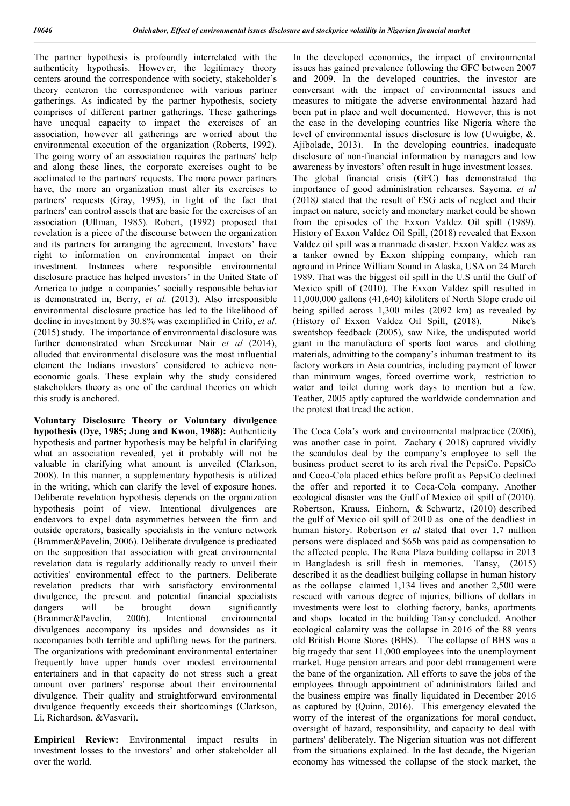The partner hypothesis is profoundly interrelated with the authenticity hypothesis. However, the legitimacy theory centers around the correspondence with society, stakeholder's theory centeron the correspondence with various partner gatherings. As indicated by the partner hypothesis, society comprises of different partner gatherings. These gatherings have unequal capacity to impact the exercises of an association, however all gatherings are worried about the environmental execution of the organization (Roberts, 1992). The going worry of an association requires the partners' help and along these lines, the corporate exercises ought to be acclimated to the partners' requests. The more power partners have, the more an organization must alter its exercises to partners' requests (Gray, 1995), in light of the fact that partners' can control assets that are basic for the exercises of an association (Ullman, 1985). Robert, (1992) proposed that revelation is a piece of the discourse between the organization and its partners for arranging the agreement. Investors' have right to information on environmental impact on their investment. Instances where responsible environmental disclosure practice has helped investors' in the United State of America to judge a companies' socially responsible behavior is demonstrated in, Berry, *et al.* (2013). Also irresponsible environmental disclosure practice has led to the likelihood of decline in investment by 30.8% was exemplified in Crifo, *et al*. (2015) study. The importance of environmental disclosure was further demonstrated when Sreekumar Nair *et al* (2014), alluded that environmental disclosure was the most influential element the Indians investors' considered to achieve noneconomic goals. These explain why the study considered stakeholders theory as one of the cardinal theories on which this study is anchored.

**Voluntary Disclosure Theory or Voluntary divulgence hypothesis (Dye, 1985; Jung and Kwon, 1988):** Authenticity hypothesis and partner hypothesis may be helpful in clarifying what an association revealed, yet it probably will not be valuable in clarifying what amount is unveiled (Clarkson, 2008). In this manner, a supplementary hypothesis is utilized in the writing, which can clarify the level of exposure hones. Deliberate revelation hypothesis depends on the organization hypothesis point of view. Intentional divulgences are endeavors to expel data asymmetries between the firm and outside operators, basically specialists in the venture network (Brammer&Pavelin, 2006). Deliberate divulgence is predicated on the supposition that association with great environmental revelation data is regularly additionally ready to unveil their activities' environmental effect to the partners. Deliberate revelation predicts that with satisfactory environmental divulgence, the present and potential financial specialists dangers will be brought down significantly (Brammer&Pavelin, 2006). Intentional environmental divulgences accompany its upsides and downsides as it accompanies both terrible and uplifting news for the partners. The organizations with predominant environmental entertainer frequently have upper hands over modest environmental entertainers and in that capacity do not stress such a great amount over partners' response about their environmental divulgence. Their quality and straightforward environmental divulgence frequently exceeds their shortcomings (Clarkson, Li, Richardson, &Vasvari).

**Empirical Review:** Environmental impact results in investment losses to the investors' and other stakeholder all over the world.

In the developed economies, the impact of environmental issues has gained prevalence following the GFC between 2007 and 2009. In the developed countries, the investor are conversant with the impact of environmental issues and measures to mitigate the adverse environmental hazard had been put in place and well documented. However, this is not the case in the developing countries like Nigeria where the level of environmental issues disclosure is low (Uwuigbe, &. Ajibolade, 2013). In the developing countries, inadequate disclosure of non-financial information by managers and low awareness by investors' often result in huge investment losses. The global financial crisis (GFC) has demonstrated the importance of good administration rehearses. Sayema, *et al* (2018*)* stated that the result of ESG acts of neglect and their impact on nature, society and monetary market could be shown from the episodes of the Exxon Valdez Oil spill (1989). History of Exxon Valdez Oil Spill, (2018) revealed that Exxon Valdez oil spill was a manmade disaster. Exxon Valdez was as a tanker owned by Exxon shipping company, which ran aground in Prince William Sound in Alaska, USA on 24 March 1989. That was the biggest oil spill in the U.S until the Gulf of Mexico spill of (2010). The Exxon Valdez spill resulted in 11,000,000 gallons (41,640) kiloliters of North Slope crude oil being spilled across 1,300 miles (2092 km) as revealed by (History of Exxon Valdez Oil Spill, (2018). Nike's sweatshop feedback (2005), saw Nike, the undisputed world giant in the manufacture of sports foot wares and clothing materials, admitting to the company's inhuman treatment to its factory workers in Asia countries, including payment of lower than minimum wages, forced overtime work, restriction to water and toilet during work days to mention but a few. Teather, 2005 aptly captured the worldwide condemnation and the protest that tread the action.

The Coca Cola's work and environmental malpractice (2006), was another case in point. Zachary ( 2018) captured vividly the scandulos deal by the company's employee to sell the business product secret to its arch rival the PepsiCo. PepsiCo and Coco-Cola placed ethics before profit as PepsiCo declined the offer and reported it to Coca-Cola company. Another ecological disaster was the Gulf of Mexico oil spill of (2010). Robertson, Krauss, Einhorn, & Schwartz, (2010) described the gulf of Mexico oil spill of 2010 as one of the deadliest in human history. Robertson *et al* stated that over 1.7 million persons were displaced and \$65b was paid as compensation to the affected people. The Rena Plaza building collapse in 2013 in Bangladesh is still fresh in memories. Tansy, (2015) described it as the deadliest builging collapse in human history as the collapse claimed 1,134 lives and another 2,500 were rescued with various degree of injuries, billions of dollars in investments were lost to clothing factory, banks, apartments and shops located in the building Tansy concluded. Another ecological calamity was the collapse in 2016 of the 88 years old British Home Stores (BHS). The collapse of BHS was a big tragedy that sent 11,000 employees into the unemployment market. Huge pension arrears and poor debt management were the bane of the organization. All efforts to save the jobs of the employees through appointment of administrators failed and the business empire was finally liquidated in December 2016 as captured by (Quinn, 2016). This emergency elevated the worry of the interest of the organizations for moral conduct, oversight of hazard, responsibility, and capacity to deal with partners' deliberately. The Nigerian situation was not different from the situations explained. In the last decade, the Nigerian economy has witnessed the collapse of the stock market, the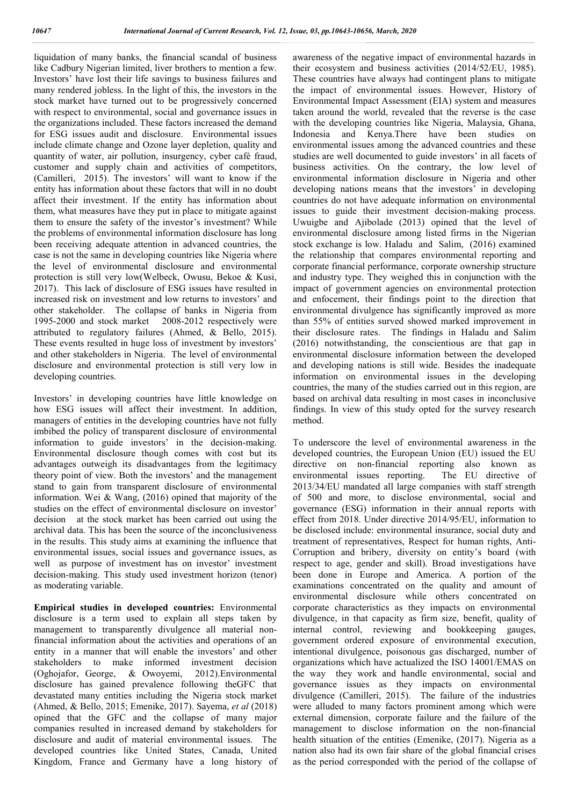liquidation of many banks, the financial scandal of business like Cadbury Nigerian limited, liver brothers to mention a few. Investors' have lost their life savings to business failures and many rendered jobless. In the light of this, the investors in the stock market have turned out to be progressively concerned with respect to environmental, social and governance issues in the organizations included. These factors increased the demand for ESG issues audit and disclosure. Environmental issues include climate change and Ozone layer depletion, quality and quantity of water, air pollution, insurgency, cyber café fraud, customer and supply chain and activities of competitors, (Camilleri, 2015). The investors' will want to know if the entity has information about these factors that will in no doubt affect their investment. If the entity has information about them, what measures have they put in place to mitigate against them to ensure the safety of the investor's investment? While the problems of environmental information disclosure has long been receiving adequate attention in advanced countries, the case is not the same in developing countries like Nigeria where the level of environmental disclosure and environmental protection is still very low(Welbeck, Owusu, Bekoe & Kusi, 2017). This lack of disclosure of ESG issues have resulted in increased risk on investment and low returns to investors' and other stakeholder. The collapse of banks in Nigeria from 1995-2000 and stock market 2008-2012 respectively were attributed to regulatory failures (Ahmed, & Bello, 2015). These events resulted in huge loss of investment by investors' and other stakeholders in Nigeria. The level of environmental disclosure and environmental protection is still very low in developing countries.

Investors' in developing countries have little knowledge on how ESG issues will affect their investment. In addition, managers of entities in the developing countries have not fully imbibed the policy of transparent disclosure of environmental information to guide investors' in the decision-making. Environmental disclosure though comes with cost but its advantages outweigh its disadvantages from the legitimacy theory point of view. Both the investors' and the management stand to gain from transparent disclosure of environmental information. Wei & Wang, (2016) opined that majority of the studies on the effect of environmental disclosure on investor' decision at the stock market has been carried out using the archival data. This has been the source of the inconclusiveness in the results. This study aims at examining the influence that environmental issues, social issues and governance issues, as well as purpose of investment has on investor' investment decision-making. This study used investment horizon (tenor) as moderating variable.

**Empirical studies in developed countries:** Environmental disclosure is a term used to explain all steps taken by management to transparently divulgence all material nonfinancial information about the activities and operations of an entity in a manner that will enable the investors' and other stakeholders to make informed investment decision (Oghojafor, George, & Owoyemi, 2012).Environmental disclosure has gained prevalence following theGFC that devastated many entities including the Nigeria stock market (Ahmed, & Bello, 2015; Emenike, 2017). Sayema, *et al* (2018) opined that the GFC and the collapse of many major companies resulted in increased demand by stakeholders for disclosure and audit of material environmental issues. The developed countries like United States, Canada, United Kingdom, France and Germany have a long history of awareness of the negative impact of environmental hazards in their ecosystem and business activities (2014/52/EU, 1985). These countries have always had contingent plans to mitigate the impact of environmental issues. However, History of Environmental Impact Assessment (EIA) system and measures taken around the world, revealed that the reverse is the case with the developing countries like Nigeria, Malaysia, Ghana, Indonesia and Kenya.There have been studies on environmental issues among the advanced countries and these studies are well documented to guide investors' in all facets of business activities. On the contrary, the low level of environmental information disclosure in Nigeria and other developing nations means that the investors' in developing countries do not have adequate information on environmental issues to guide their investment decision-making process. Uwuigbe and Ajibolade (2013) opined that the level of environmental disclosure among listed firms in the Nigerian stock exchange is low. Haladu and Salim, (2016) examined the relationship that compares environmental reporting and corporate financial performance, corporate ownership structure and industry type. They weighed this in conjunction with the impact of government agencies on environmental protection and enfocement, their findings point to the direction that environmental divulgence has significantly improved as more than 55% of entities surved showed marked improvement in their disclosure rates. The findings in Haladu and Salim (2016) notwithstanding, the conscientious are that gap in environmental disclosure information between the developed and developing nations is still wide. Besides the inadequate information on environmental issues in the developing countries, the many of the studies carried out in this region, are based on archival data resulting in most cases in inconclusive findings. In view of this study opted for the survey research method.

To underscore the level of environmental awareness in the developed countries, the European Union (EU) issued the EU directive on non-financial reporting also known as environmental issues reporting. The EU directive of 2013/34/EU mandated all large companies with staff strength of 500 and more, to disclose environmental, social and governance (ESG) information in their annual reports with effect from 2018. Under directive 2014/95/EU, information to be disclosed include: environmental insurance, social duty and treatment of representatives, Respect for human rights, Anti-Corruption and bribery, diversity on entity's board (with respect to age, gender and skill). Broad investigations have been done in Europe and America. A portion of the examinations concentrated on the quality and amount of environmental disclosure while others concentrated on corporate characteristics as they impacts on environmental divulgence, in that capacity as firm size, benefit, quality of internal control, reviewing and bookkeeping gauges, government ordered exposure of environmental execution, intentional divulgence, poisonous gas discharged, number of organizations which have actualized the ISO 14001/EMAS on the way they work and handle environmental, social and governance issues as they impacts on environmental divulgence (Camilleri, 2015). The failure of the industries were alluded to many factors prominent among which were external dimension, corporate failure and the failure of the management to disclose information on the non-financial health situation of the entities (Emenike, (2017). Nigeria as a nation also had its own fair share of the global financial crises as the period corresponded with the period of the collapse of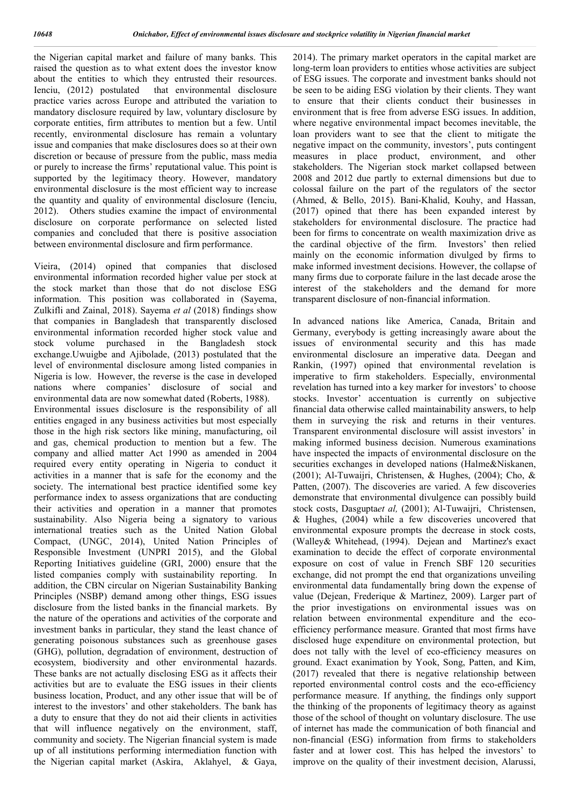the Nigerian capital market and failure of many banks. This raised the question as to what extent does the investor know about the entities to which they entrusted their resources. Ienciu, (2012) postulated that environmental disclosure practice varies across Europe and attributed the variation to mandatory disclosure required by law, voluntary disclosure by corporate entities, firm attributes to mention but a few. Until recently, environmental disclosure has remain a voluntary issue and companies that make disclosures does so at their own discretion or because of pressure from the public, mass media or purely to increase the firms' reputational value. This point is supported by the legitimacy theory. However, mandatory environmental disclosure is the most efficient way to increase the quantity and quality of environmental disclosure (Ienciu, 2012). Others studies examine the impact of environmental disclosure on corporate performance on selected listed companies and concluded that there is positive association between environmental disclosure and firm performance.

Vieira, (2014) opined that companies that disclosed environmental information recorded higher value per stock at the stock market than those that do not disclose ESG information. This position was collaborated in (Sayema, Zulkifli and Zainal, 2018). Sayema *et al* (2018) findings show that companies in Bangladesh that transparently disclosed environmental information recorded higher stock value and stock volume purchased in the Bangladesh stock exchange.Uwuigbe and Ajibolade, (2013) postulated that the level of environmental disclosure among listed companies in Nigeria is low. However, the reverse is the case in developed nations where companies' disclosure of social and environmental data are now somewhat dated (Roberts, 1988). Environmental issues disclosure is the responsibility of all entities engaged in any business activities but most especially those in the high risk sectors like mining, manufacturing, oil and gas, chemical production to mention but a few. The company and allied matter Act 1990 as amended in 2004 required every entity operating in Nigeria to conduct it activities in a manner that is safe for the economy and the society. The international best practice identified some key performance index to assess organizations that are conducting their activities and operation in a manner that promotes sustainability. Also Nigeria being a signatory to various international treaties such as the United Nation Global Compact, (UNGC, 2014), United Nation Principles of Responsible Investment (UNPRI 2015), and the Global Reporting Initiatives guideline (GRI, 2000) ensure that the listed companies comply with sustainability reporting. In addition, the CBN circular on Nigerian Sustainability Banking Principles (NSBP) demand among other things, ESG issues disclosure from the listed banks in the financial markets. By the nature of the operations and activities of the corporate and investment banks in particular, they stand the least chance of generating poisonous substances such as greenhouse gases (GHG), pollution, degradation of environment, destruction of ecosystem, biodiversity and other environmental hazards. These banks are not actually disclosing ESG as it affects their activities but are to evaluate the ESG issues in their clients business location, Product, and any other issue that will be of interest to the investors' and other stakeholders. The bank has a duty to ensure that they do not aid their clients in activities that will influence negatively on the environment, staff, community and society. The Nigerian financial system is made up of all institutions performing intermediation function with the Nigerian capital market (Askira, Aklahyel, & Gaya,

2014). The primary market operators in the capital market are long-term loan providers to entities whose activities are subject of ESG issues. The corporate and investment banks should not be seen to be aiding ESG violation by their clients. They want to ensure that their clients conduct their businesses in environment that is free from adverse ESG issues. In addition, where negative environmental impact becomes inevitable, the loan providers want to see that the client to mitigate the negative impact on the community, investors', puts contingent measures in place product, environment, and other stakeholders. The Nigerian stock market collapsed between 2008 and 2012 due partly to external dimensions but due to colossal failure on the part of the regulators of the sector (Ahmed, & Bello, 2015). Bani-Khalid, Kouhy, and Hassan, (2017) opined that there has been expanded interest by stakeholders for environmental disclosure. The practice had been for firms to concentrate on wealth maximization drive as the cardinal objective of the firm. Investors' then relied mainly on the economic information divulged by firms to make informed investment decisions. However, the collapse of many firms due to corporate failure in the last decade arose the interest of the stakeholders and the demand for more transparent disclosure of non-financial information.

In advanced nations like America, Canada, Britain and Germany, everybody is getting increasingly aware about the issues of environmental security and this has made environmental disclosure an imperative data. Deegan and Rankin, (1997) opined that environmental revelation is imperative to firm stakeholders. Especially, environmental revelation has turned into a key marker for investors' to choose stocks. Investor' accentuation is currently on subjective financial data otherwise called maintainability answers, to help them in surveying the risk and returns in their ventures. Transparent environmental disclosure will assist investors' in making informed business decision. Numerous examinations have inspected the impacts of environmental disclosure on the securities exchanges in developed nations (Halme&Niskanen, (2001); Al-Tuwaijri, Christensen, & Hughes, (2004); Cho, & Patten, (2007). The discoveries are varied. A few discoveries demonstrate that environmental divulgence can possibly build stock costs, Dasgupta*et al,* (2001); Al-Tuwaijri, Christensen, & Hughes, (2004) while a few discoveries uncovered that environmental exposure prompts the decrease in stock costs, (Walley& Whitehead, (1994). Dejean and Martinez's exact examination to decide the effect of corporate environmental exposure on cost of value in French SBF 120 securities exchange, did not prompt the end that organizations unveiling environmental data fundamentally bring down the expense of value (Dejean, Frederique & Martinez, 2009). Larger part of the prior investigations on environmental issues was on relation between environmental expenditure and the ecoefficiency performance measure. Granted that most firms have disclosed huge expenditure on environmental protection, but does not tally with the level of eco-efficiency measures on ground. Exact exanimation by Yook, Song, Patten, and Kim, (2017) revealed that there is negative relationship between reported environmental control costs and the eco-efficiency performance measure. If anything, the findings only support the thinking of the proponents of legitimacy theory as against those of the school of thought on voluntary disclosure. The use of internet has made the communication of both financial and non-financial (ESG) information from firms to stakeholders faster and at lower cost. This has helped the investors' to improve on the quality of their investment decision, Alarussi,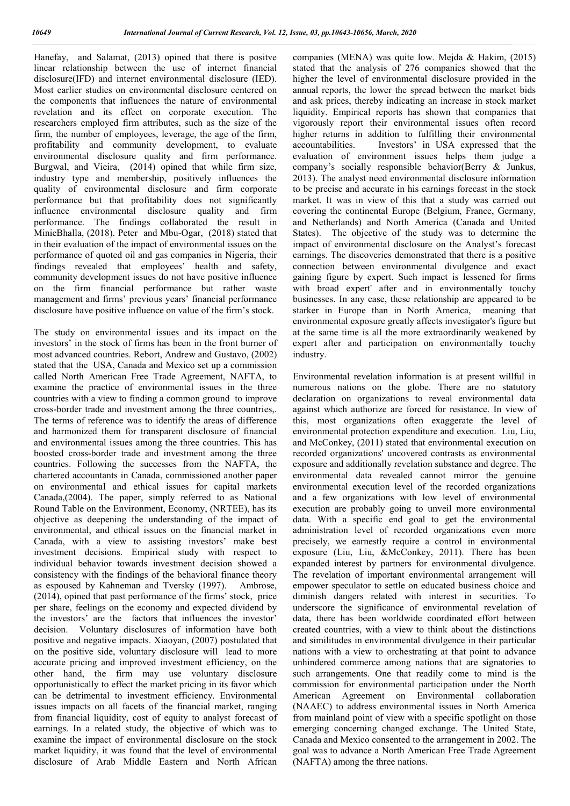Hanefay, and Salamat, (2013) opined that there is positve linear relationship between the use of internet financial disclosure(IFD) and internet environmental disclosure (IED). Most earlier studies on environmental disclosure centered on the components that influences the nature of environmental revelation and its effect on corporate execution. The researchers employed firm attributes, such as the size of the firm, the number of employees, leverage, the age of the firm, profitability and community development, to evaluate environmental disclosure quality and firm performance. Burgwal, and Vieira, (2014) opined that while firm size, industry type and membership, positively influences the quality of environmental disclosure and firm corporate performance but that profitability does not significantly influence environmental disclosure quality and firm performance. The findings collaborated the result in MinieBhalla, (2018). Peter and Mbu-Ogar, (2018) stated that in their evaluation of the impact of environmental issues on the performance of quoted oil and gas companies in Nigeria, their findings revealed that employees' health and safety, community development issues do not have positive influence on the firm financial performance but rather waste management and firms' previous years' financial performance disclosure have positive influence on value of the firm's stock.

The study on environmental issues and its impact on the investors' in the stock of firms has been in the front burner of most advanced countries. Rebort, Andrew and Gustavo, (2002) stated that the USA, Canada and Mexico set up a commission called North American Free Trade Agreement, NAFTA, to examine the practice of environmental issues in the three countries with a view to finding a common ground to improve cross-border trade and investment among the three countries,. The terms of reference was to identify the areas of difference and harmonized them for transparent disclosure of financial and environmental issues among the three countries. This has boosted cross-border trade and investment among the three countries. Following the successes from the NAFTA, the chartered accountants in Canada, commissioned another paper on environmental and ethical issues for capital markets Canada,(2004). The paper, simply referred to as National Round Table on the Environment, Economy, (NRTEE), has its objective as deepening the understanding of the impact of environmental, and ethical issues on the financial market in Canada, with a view to assisting investors' make best investment decisions. Empirical study with respect to individual behavior towards investment decision showed a consistency with the findings of the behavioral finance theory as espoused by Kahneman and Tversky (1997). Ambrose, (2014), opined that past performance of the firms' stock, price per share, feelings on the economy and expected dividend by the investors' are the factors that influences the investor' decision. Voluntary disclosures of information have both positive and negative impacts. Xiaoyan, (2007) postulated that on the positive side, voluntary disclosure will lead to more accurate pricing and improved investment efficiency, on the other hand, the firm may use voluntary disclosure opportunistically to effect the market pricing in its favor which can be detrimental to investment efficiency. Environmental issues impacts on all facets of the financial market, ranging from financial liquidity, cost of equity to analyst forecast of earnings. In a related study, the objective of which was to examine the impact of environmental disclosure on the stock market liquidity, it was found that the level of environmental disclosure of Arab Middle Eastern and North African

companies (MENA) was quite low. Mejda & Hakim, (2015) stated that the analysis of 276 companies showed that the higher the level of environmental disclosure provided in the annual reports, the lower the spread between the market bids and ask prices, thereby indicating an increase in stock market liquidity. Empirical reports has shown that companies that vigorously report their environmental issues often record higher returns in addition to fulfilling their environmental accountabilities. Investors' in USA expressed that the evaluation of environment issues helps them judge a company's socially responsible behavior(Berry & Junkus, 2013). The analyst need environmental disclosure information to be precise and accurate in his earnings forecast in the stock market. It was in view of this that a study was carried out covering the continental Europe (Belgium, France, Germany, and Netherlands) and North America (Canada and United States). The objective of the study was to determine the impact of environmental disclosure on the Analyst's forecast earnings. The discoveries demonstrated that there is a positive connection between environmental divulgence and exact gaining figure by expert. Such impact is lessened for firms with broad expert' after and in environmentally touchy businesses. In any case, these relationship are appeared to be starker in Europe than in North America, meaning that environmental exposure greatly affects investigator's figure but at the same time is all the more extraordinarily weakened by expert after and participation on environmentally touchy industry.

Environmental revelation information is at present willful in numerous nations on the globe. There are no statutory declaration on organizations to reveal environmental data against which authorize are forced for resistance. In view of this, most organizations often exaggerate the level of environmental protection expenditure and execution. Liu, Liu, and McConkey, (2011) stated that environmental execution on recorded organizations' uncovered contrasts as environmental exposure and additionally revelation substance and degree. The environmental data revealed cannot mirror the genuine environmental execution level of the recorded organizations and a few organizations with low level of environmental execution are probably going to unveil more environmental data. With a specific end goal to get the environmental administration level of recorded organizations even more precisely, we earnestly require a control in environmental exposure (Liu, Liu, &McConkey, 2011). There has been expanded interest by partners for environmental divulgence. The revelation of important environmental arrangement will empower speculator to settle on educated business choice and diminish dangers related with interest in securities. To underscore the significance of environmental revelation of data, there has been worldwide coordinated effort between created countries, with a view to think about the distinctions and similitudes in environmental divulgence in their particular nations with a view to orchestrating at that point to advance unhindered commerce among nations that are signatories to such arrangements. One that readily come to mind is the commission for environmental participation under the North American Agreement on Environmental collaboration (NAAEC) to address environmental issues in North America from mainland point of view with a specific spotlight on those emerging concerning changed exchange. The United State, Canada and Mexico consented to the arrangement in 2002. The goal was to advance a North American Free Trade Agreement (NAFTA) among the three nations.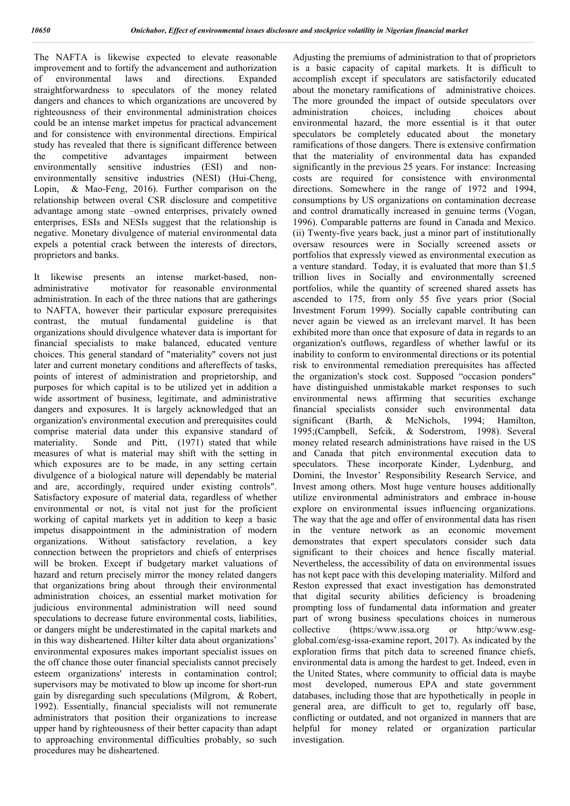The NAFTA is likewise expected to elevate reasonable improvement and to fortify the advancement and authorization<br>of environmental laws and directions. Expanded of environmental laws and directions. Expanded straightforwardness to speculators of the money related dangers and chances to which organizations are uncovered by righteousness of their environmental administration choices could be an intense market impetus for practical advancement and for consistence with environmental directions. Empirical study has revealed that there is significant difference between the competitive advantages impairment between environmentally sensitive industries (ESI) and nonenvironmentally sensitive industries (NESI) (Hui-Cheng, Lopin, & Mao-Feng, 2016). Further comparison on the relationship between overal CSR disclosure and competitive advantage among state –owned enterprises, privately owned enterprises, ESIs and NESIs suggest that the relationship is negative. Monetary divulgence of material environmental data expels a potential crack between the interests of directors, proprietors and banks.

It likewise presents an intense market-based, nonadministrative motivator for reasonable environmental administration. In each of the three nations that are gatherings to NAFTA, however their particular exposure prerequisites contrast, the mutual fundamental guideline is that organizations should divulgence whatever data is important for financial specialists to make balanced, educated venture choices. This general standard of "materiality" covers not just later and current monetary conditions and aftereffects of tasks, points of interest of administration and proprietorship, and purposes for which capital is to be utilized yet in addition a wide assortment of business, legitimate, and administrative dangers and exposures. It is largely acknowledged that an organization's environmental execution and prerequisites could comprise material data under this expansive standard of materiality. Sonde and Pitt, (1971) stated that while measures of what is material may shift with the setting in which exposures are to be made, in any setting certain divulgence of a biological nature will dependably be material and are, accordingly, required under existing controls". Satisfactory exposure of material data, regardless of whether environmental or not, is vital not just for the proficient working of capital markets yet in addition to keep a basic impetus disappointment in the administration of modern organizations. Without satisfactory revelation, a key connection between the proprietors and chiefs of enterprises will be broken. Except if budgetary market valuations of hazard and return precisely mirror the money related dangers that organizations bring about through their environmental administration choices, an essential market motivation for judicious environmental administration will need sound speculations to decrease future environmental costs, liabilities, or dangers might be underestimated in the capital markets and in this way disheartened. Hilter kilter data about organizations' environmental exposures makes important specialist issues on the off chance those outer financial specialists cannot precisely esteem organizations' interests in contamination control; supervisors may be motivated to blow up income for short-run gain by disregarding such speculations (Milgrom, & Robert, 1992). Essentially, financial specialists will not remunerate administrators that position their organizations to increase upper hand by righteousness of their better capacity than adapt to approaching environmental difficulties probably, so such procedures may be disheartened.

Adjusting the premiums of administration to that of proprietors is a basic capacity of capital markets. It is difficult to accomplish except if speculators are satisfactorily educated about the monetary ramifications of administrative choices. The more grounded the impact of outside speculators over administration choices, including choices about environmental hazard, the more essential is it that outer speculators be completely educated about the monetary ramifications of those dangers. There is extensive confirmation that the materiality of environmental data has expanded significantly in the previous 25 years. For instance: Increasing costs are required for consistence with environmental directions. Somewhere in the range of 1972 and 1994, consumptions by US organizations on contamination decrease and control dramatically increased in genuine terms (Vogan, 1996). Comparable patterns are found in Canada and Mexico. (ii) Twenty-five years back, just a minor part of institutionally oversaw resources were in Socially screened assets or portfolios that expressly viewed as environmental execution as a venture standard. Today, it is evaluated that more than \$1.5 trillion lives in Socially and environmentally screened portfolios, while the quantity of screened shared assets has ascended to 175, from only 55 five years prior (Social Investment Forum 1999). Socially capable contributing can never again be viewed as an irrelevant marvel. It has been exhibited more than once that exposure of data in regards to an organization's outflows, regardless of whether lawful or its inability to conform to environmental directions or its potential risk to environmental remediation prerequisites has affected the organization's stock cost. Supposed "occasion ponders" have distinguished unmistakable market responses to such environmental news affirming that securities exchange financial specialists consider such environmental data significant (Barth, & McNichols, 1994; Hamilton, 1995;(Campbell, Sefcik, & Soderstrom, 1998). Several money related research administrations have raised in the US and Canada that pitch environmental execution data to speculators. These incorporate Kinder, Lydenburg, and Domini, the Investor' Responsibility Research Service, and Invest among others. Most huge venture houses additionally utilize environmental administrators and embrace in-house explore on environmental issues influencing organizations. The way that the age and offer of environmental data has risen in the venture network as an economic movement demonstrates that expert speculators consider such data significant to their choices and hence fiscally material. Nevertheless, the accessibility of data on environmental issues has not kept pace with this developing materiality. Milford and Reston expressed that exact investigation has demonstrated that digital security abilities deficiency is broadening prompting loss of fundamental data information and greater part of wrong business speculations choices in numerous collective (https:/www.issa.org or http:/www.esgglobal.com/esg-issa-examine report, 2017). As indicated by the exploration firms that pitch data to screened finance chiefs, environmental data is among the hardest to get. Indeed, even in the United States, where community to official data is maybe most developed, numerous EPA and state government databases, including those that are hypothetically in people in general area, are difficult to get to, regularly off base, conflicting or outdated, and not organized in manners that are helpful for money related or organization particular investigation.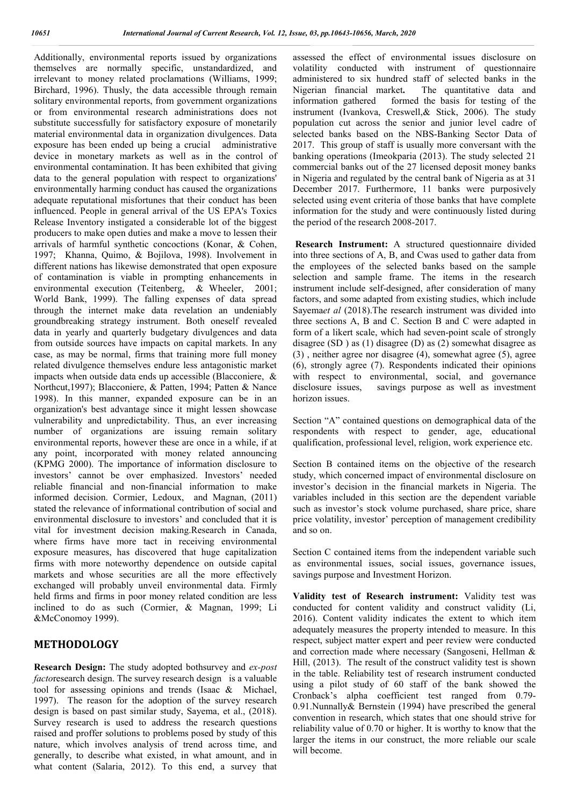Additionally, environmental reports issued by organizations themselves are normally specific, unstandardized, and irrelevant to money related proclamations (Williams, 1999; Birchard, 1996). Thusly, the data accessible through remain solitary environmental reports, from government organizations or from environmental research administrations does not substitute successfully for satisfactory exposure of monetarily material environmental data in organization divulgences. Data exposure has been ended up being a crucial administrative device in monetary markets as well as in the control of environmental contamination. It has been exhibited that giving data to the general population with respect to organizations' environmentally harming conduct has caused the organizations adequate reputational misfortunes that their conduct has been influenced. People in general arrival of the US EPA's Toxics Release Inventory instigated a considerable lot of the biggest producers to make open duties and make a move to lessen their arrivals of harmful synthetic concoctions (Konar, & Cohen, 1997; Khanna, Quimo, & Bojilova, 1998). Involvement in different nations has likewise demonstrated that open exposure of contamination is viable in prompting enhancements in environmental execution (Teitenberg, & Wheeler, 2001; World Bank, 1999). The falling expenses of data spread through the internet make data revelation an undeniably groundbreaking strategy instrument. Both oneself revealed data in yearly and quarterly budgetary divulgences and data from outside sources have impacts on capital markets. In any case, as may be normal, firms that training more full money related divulgence themselves endure less antagonistic market impacts when outside data ends up accessible (Blacconiere, & Northcut,1997); Blacconiere, & Patten, 1994; Patten & Nance 1998). In this manner, expanded exposure can be in an organization's best advantage since it might lessen showcase vulnerability and unpredictability. Thus, an ever increasing number of organizations are issuing remain solitary environmental reports, however these are once in a while, if at any point, incorporated with money related announcing (KPMG 2000). The importance of information disclosure to investors' cannot be over emphasized. Investors' needed reliable financial and non-financial information to make informed decision. Cormier, Ledoux, and Magnan, (2011) stated the relevance of informational contribution of social and environmental disclosure to investors' and concluded that it is vital for investment decision making.Research in Canada, where firms have more tact in receiving environmental exposure measures, has discovered that huge capitalization firms with more noteworthy dependence on outside capital markets and whose securities are all the more effectively exchanged will probably unveil environmental data. Firmly held firms and firms in poor money related condition are less inclined to do as such (Cormier, & Magnan, 1999; Li &McConomoy 1999).

# **METHODOLOGY**

**Research Design:** The study adopted bothsurvey and *ex-post facto*research design. The survey research design is a valuable tool for assessing opinions and trends (Isaac & Michael, 1997). The reason for the adoption of the survey research design is based on past similar study, Sayema, et al., (2018). Survey research is used to address the research questions raised and proffer solutions to problems posed by study of this nature, which involves analysis of trend across time, and generally, to describe what existed, in what amount, and in what content (Salaria, 2012). To this end, a survey that assessed the effect of environmental issues disclosure on volatility conducted with instrument of questionnaire administered to six hundred staff of selected banks in the Nigerian financial market**.** The quantitative data and information gathered formed the basis for testing of the instrument (Ivankova, Creswell,& Stick, 2006). The study population cut across the senior and junior level cadre of selected banks based on the NBS-Banking Sector Data of 2017. This group of staff is usually more conversant with the banking operations (Imeokparia (2013). The study selected 21 commercial banks out of the 27 licensed deposit money banks in Nigeria and regulated by the central bank of Nigeria as at 31 December 2017. Furthermore, 11 banks were purposively selected using event criteria of those banks that have complete information for the study and were continuously listed during the period of the research 2008-2017.

**Research Instrument:** A structured questionnaire divided into three sections of A, B, and Cwas used to gather data from the employees of the selected banks based on the sample selection and sample frame. The items in the research instrument include self-designed, after consideration of many factors, and some adapted from existing studies, which include Sayema*et al* (2018).The research instrument was divided into three sections A, B and C. Section B and C were adapted in form of a likert scale, which had seven-point scale of strongly disagree (SD ) as (1) disagree (D) as (2) somewhat disagree as (3) , neither agree nor disagree (4), somewhat agree (5), agree (6), strongly agree (7). Respondents indicated their opinions with respect to environmental, social, and governance disclosure issues, savings purpose as well as investment horizon issues.

Section "A" contained questions on demographical data of the respondents with respect to gender, age, educational qualification, professional level, religion, work experience etc.

Section B contained items on the objective of the research study, which concerned impact of environmental disclosure on investor's decision in the financial markets in Nigeria. The variables included in this section are the dependent variable such as investor's stock volume purchased, share price, share price volatility, investor' perception of management credibility and so on.

Section C contained items from the independent variable such as environmental issues, social issues, governance issues, savings purpose and Investment Horizon.

**Validity test of Research instrument:** Validity test was conducted for content validity and construct validity (Li, 2016). Content validity indicates the extent to which item adequately measures the property intended to measure. In this respect, subject matter expert and peer review were conducted and correction made where necessary (Sangoseni, Hellman & Hill, (2013). The result of the construct validity test is shown in the table. Reliability test of research instrument conducted using a pilot study of 60 staff of the bank showed the Cronback's alpha coefficient test ranged from 0.79- 0.91.Nunnally& Bernstein (1994) have prescribed the general convention in research, which states that one should strive for reliability value of 0.70 or higher. It is worthy to know that the larger the items in our construct, the more reliable our scale will become.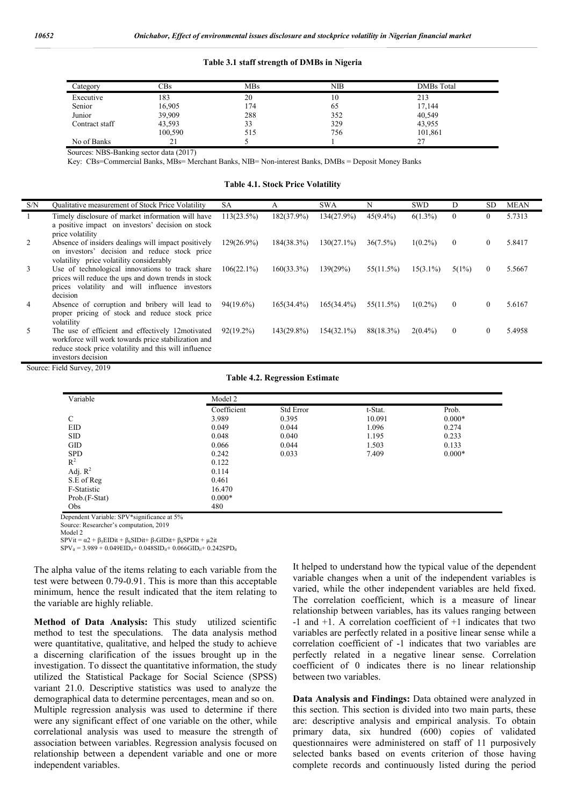#### **Table 3.1 staff strength of DMBs in Nigeria**

| Category       | CBs     | <b>MBs</b> | NIB | <b>DMBs</b> Total |
|----------------|---------|------------|-----|-------------------|
| Executive      | 183     | 20         | 10  | 213               |
| Senior         | 16,905  | 174        | 65  | 17,144            |
| Junior         | 39,909  | 288        | 352 | 40,549            |
| Contract staff | 43,593  | 33         | 329 | 43,955            |
|                | 100,590 | 515        | 756 | 101,861           |
| No of Banks    | ΖI      |            |     |                   |

Sources: NBS-Banking sector data (2017)

Key: CBs=Commercial Banks, MBs= Merchant Banks, NIB= Non-interest Banks, DMBs = Deposit Money Banks

**Table 4.1. Stock Price Volatility**

| S/N | Qualitative measurement of Stock Price Volatility                                                                                                                                      | SА            | А             | <b>SWA</b>    | N           | <b>SWD</b>  | D            | SD.      | <b>MEAN</b> |
|-----|----------------------------------------------------------------------------------------------------------------------------------------------------------------------------------------|---------------|---------------|---------------|-------------|-------------|--------------|----------|-------------|
|     | Timely disclosure of market information will have<br>a positive impact on investors' decision on stock<br>price volatility                                                             | $113(23.5\%)$ | $182(37.9\%)$ | 134(27.9%)    | $45(9.4\%)$ | $6(1.3\%)$  | $\theta$     | $\theta$ | 5.7313      |
| 2   | Absence of insiders dealings will impact positively<br>on investors' decision and reduce stock price<br>volatility price volatility considerably                                       | $129(26.9\%)$ | 184(38.3%)    | $130(27.1\%)$ | $36(7.5\%)$ | $1(0.2\%)$  | $\mathbf{0}$ | $\left($ | 5.8417      |
| 3   | Use of technological innovations to track share<br>prices will reduce the ups and down trends in stock<br>prices volatility and will influence investors<br>decision                   | $106(22.1\%)$ | $160(33.3\%)$ | 139(29%)      | 55(11.5%)   | $15(3.1\%)$ | $5(1\%)$     | $\Omega$ | 5.5667      |
| 4   | Absence of corruption and bribery will lead to<br>proper pricing of stock and reduce stock price<br>volatility                                                                         | 94(19.6%)     | $165(34.4\%)$ | $165(34.4\%)$ | 55(11.5%)   | $1(0.2\%)$  | $\mathbf{0}$ | $\theta$ | 5.6167      |
| 5.  | The use of efficient and effectively 12motivated<br>workforce will work towards price stabilization and<br>reduce stock price volatility and this will influence<br>investors decision | $92(19.2\%)$  | 143(29.8%)    | $154(32.1\%)$ | 88(18.3%)   | $2(0.4\%)$  | $\mathbf{0}$ |          | 5.4958      |

Source: Field Survey, 2019

|  |  | <b>Table 4.2. Regression Estimate</b> |  |
|--|--|---------------------------------------|--|
|--|--|---------------------------------------|--|

| Variable         | Model 2     |           |         |          |  |  |
|------------------|-------------|-----------|---------|----------|--|--|
|                  | Coefficient | Std Error | t-Stat. | Prob.    |  |  |
| C                | 3.989       | 0.395     | 10.091  | $0.000*$ |  |  |
| EID              | 0.049       | 0.044     | 1.096   | 0.274    |  |  |
| <b>SID</b>       | 0.048       | 0.040     | 1.195   | 0.233    |  |  |
| GID              | 0.066       | 0.044     | 1.503   | 0.133    |  |  |
| <b>SPD</b>       | 0.242       | 0.033     | 7.409   | $0.000*$ |  |  |
| $\overline{R}^2$ | 0.122       |           |         |          |  |  |
| Adj. $R^2$       | 0.114       |           |         |          |  |  |
| S.E of Reg       | 0.461       |           |         |          |  |  |
| F-Statistic      | 16.470      |           |         |          |  |  |
| Prob.(F-Stat)    | $0.000*$    |           |         |          |  |  |
| Obs              | 480         |           |         |          |  |  |

Dependent Variable: SPV\*significance at 5%

Source: Researcher's computation, 2019 Model 2

 $SPVi = \alpha^2 + \beta_5 EIDit + \beta_6 SIDit + \beta_7 GIDit + \beta_8 SPDit + \mu^2it$ 

 $SPV_{it} = 3.989 + 0.049EID_{it} + 0.048SID_{it} + 0.066GID_{it} + 0.242SPD_{it}$ 

The alpha value of the items relating to each variable from the test were between 0.79-0.91. This is more than this acceptable minimum, hence the result indicated that the item relating to the variable are highly reliable.

**Method of Data Analysis:** This study utilized scientific method to test the speculations. The data analysis method were quantitative, qualitative, and helped the study to achieve a discerning clarification of the issues brought up in the investigation. To dissect the quantitative information, the study utilized the Statistical Package for Social Science (SPSS) variant 21.0. Descriptive statistics was used to analyze the demographical data to determine percentages, mean and so on. Multiple regression analysis was used to determine if there were any significant effect of one variable on the other, while correlational analysis was used to measure the strength of association between variables. Regression analysis focused on relationship between a dependent variable and one or more independent variables.

It helped to understand how the typical value of the dependent variable changes when a unit of the independent variables is varied, while the other independent variables are held fixed. The correlation coefficient, which is a measure of linear relationship between variables, has its values ranging between -1 and +1. A correlation coefficient of +1 indicates that two variables are perfectly related in a positive linear sense while a correlation coefficient of -1 indicates that two variables are perfectly related in a negative linear sense. Correlation coefficient of 0 indicates there is no linear relationship between two variables.

**Data Analysis and Findings:** Data obtained were analyzed in this section. This section is divided into two main parts, these are: descriptive analysis and empirical analysis. To obtain primary data, six hundred (600) copies of validated questionnaires were administered on staff of 11 purposively selected banks based on events criterion of those having complete records and continuously listed during the period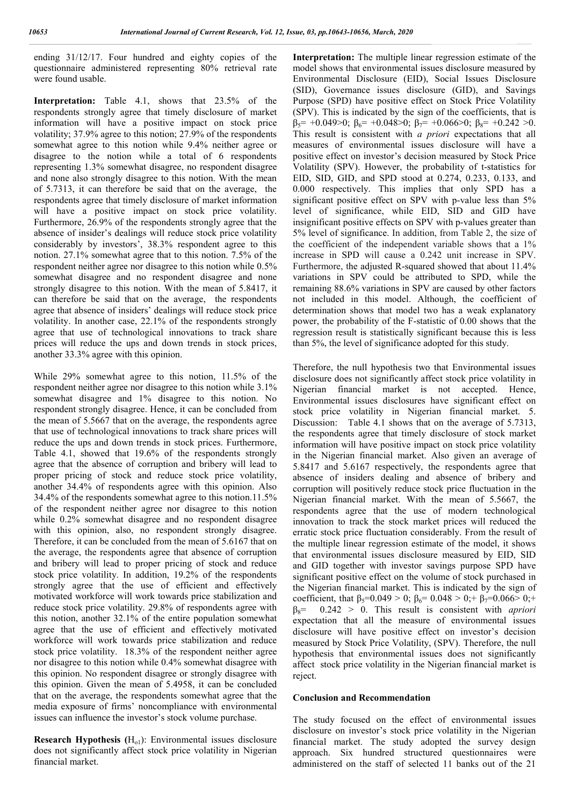ending 31/12/17. Four hundred and eighty copies of the questionnaire administered representing 80% retrieval rate were found usable.

**Interpretation:** Table 4.1, shows that 23.5% of the respondents strongly agree that timely disclosure of market information will have a positive impact on stock price volatility; 37.9% agree to this notion; 27.9% of the respondents somewhat agree to this notion while 9.4% neither agree or disagree to the notion while a total of 6 respondents representing 1.3% somewhat disagree, no respondent disagree and none also strongly disagree to this notion. With the mean of 5.7313, it can therefore be said that on the average, the respondents agree that timely disclosure of market information will have a positive impact on stock price volatility. Furthermore, 26.9% of the respondents strongly agree that the absence of insider's dealings will reduce stock price volatility considerably by investors', 38.3% respondent agree to this notion. 27.1% somewhat agree that to this notion. 7.5% of the respondent neither agree nor disagree to this notion while 0.5% somewhat disagree and no respondent disagree and none strongly disagree to this notion. With the mean of 5.8417, it can therefore be said that on the average, the respondents agree that absence of insiders' dealings will reduce stock price volatility. In another case, 22.1% of the respondents strongly agree that use of technological innovations to track share prices will reduce the ups and down trends in stock prices, another 33.3% agree with this opinion.

While 29% somewhat agree to this notion, 11.5% of the respondent neither agree nor disagree to this notion while 3.1% somewhat disagree and 1% disagree to this notion. No respondent strongly disagree. Hence, it can be concluded from the mean of 5.5667 that on the average, the respondents agree that use of technological innovations to track share prices will reduce the ups and down trends in stock prices. Furthermore, Table 4.1, showed that 19.6% of the respondents strongly agree that the absence of corruption and bribery will lead to proper pricing of stock and reduce stock price volatility, another 34.4% of respondents agree with this opinion. Also 34.4% of the respondents somewhat agree to this notion.11.5% of the respondent neither agree nor disagree to this notion while 0.2% somewhat disagree and no respondent disagree with this opinion, also, no respondent strongly disagree. Therefore, it can be concluded from the mean of 5.6167 that on the average, the respondents agree that absence of corruption and bribery will lead to proper pricing of stock and reduce stock price volatility. In addition, 19.2% of the respondents strongly agree that the use of efficient and effectively motivated workforce will work towards price stabilization and reduce stock price volatility. 29.8% of respondents agree with this notion, another 32.1% of the entire population somewhat agree that the use of efficient and effectively motivated workforce will work towards price stabilization and reduce stock price volatility. 18.3% of the respondent neither agree nor disagree to this notion while 0.4% somewhat disagree with this opinion. No respondent disagree or strongly disagree with this opinion. Given the mean of 5.4958, it can be concluded that on the average, the respondents somewhat agree that the media exposure of firms' noncompliance with environmental issues can influence the investor's stock volume purchase.

**Research Hypothesis**  $(H<sub>ol</sub>)$ : Environmental issues disclosure does not significantly affect stock price volatility in Nigerian financial market.

**Interpretation:** The multiple linear regression estimate of the model shows that environmental issues disclosure measured by Environmental Disclosure (EID), Social Issues Disclosure (SID), Governance issues disclosure (GID), and Savings Purpose (SPD) have positive effect on Stock Price Volatility (SPV). This is indicated by the sign of the coefficients, that is  $\beta_5$ = +0.049>0;  $\beta_6$ = +0.048>0;  $\beta_7$ = +0.066>0;  $\beta_8$ = +0.242 >0. This result is consistent with *a priori* expectations that all measures of environmental issues disclosure will have a positive effect on investor's decision measured by Stock Price Volatility (SPV). However, the probability of t-statistics for EID, SID, GID, and SPD stood at 0.274, 0.233, 0.133, and 0.000 respectively. This implies that only SPD has a significant positive effect on SPV with p-value less than 5% level of significance, while EID, SID and GID have insignificant positive effects on SPV with p-values greater than 5% level of significance. In addition, from Table 2, the size of the coefficient of the independent variable shows that a 1% increase in SPD will cause a 0.242 unit increase in SPV. Furthermore, the adjusted R-squared showed that about 11.4% variations in SPV could be attributed to SPD, while the remaining 88.6% variations in SPV are caused by other factors not included in this model. Although, the coefficient of determination shows that model two has a weak explanatory power, the probability of the F-statistic of 0.00 shows that the regression result is statistically significant because this is less than 5%, the level of significance adopted for this study.

Therefore, the null hypothesis two that Environmental issues disclosure does not significantly affect stock price volatility in Nigerian financial market is not accepted. Hence, Environmental issues disclosures have significant effect on stock price volatility in Nigerian financial market. 5. Discussion: Table 4.1 shows that on the average of 5.7313, the respondents agree that timely disclosure of stock market information will have positive impact on stock price volatility in the Nigerian financial market. Also given an average of 5.8417 and 5.6167 respectively, the respondents agree that absence of insiders dealing and absence of bribery and corruption will positively reduce stock price fluctuation in the Nigerian financial market. With the mean of 5.5667, the respondents agree that the use of modern technological innovation to track the stock market prices will reduced the erratic stock price fluctuation considerably. From the result of the multiple linear regression estimate of the model, it shows that environmental issues disclosure measured by EID, SID and GID together with investor savings purpose SPD have significant positive effect on the volume of stock purchased in the Nigerian financial market. This is indicated by the sign of coefficient, that  $\beta_5=0.049 > 0$ ;  $\beta_6=0.048 > 0$ ; +  $\beta_7=0.066 > 0$ ; +  $\beta_8$ = 0.242 > 0. This result is consistent with *apriori* expectation that all the measure of environmental issues disclosure will have positive effect on investor's decision measured by Stock Price Volatility, (SPV). Therefore, the null hypothesis that environmental issues does not significantly affect stock price volatility in the Nigerian financial market is reject.

#### **Conclusion and Recommendation**

The study focused on the effect of environmental issues disclosure on investor's stock price volatility in the Nigerian financial market. The study adopted the survey design approach. Six hundred structured questionnaires were administered on the staff of selected 11 banks out of the 21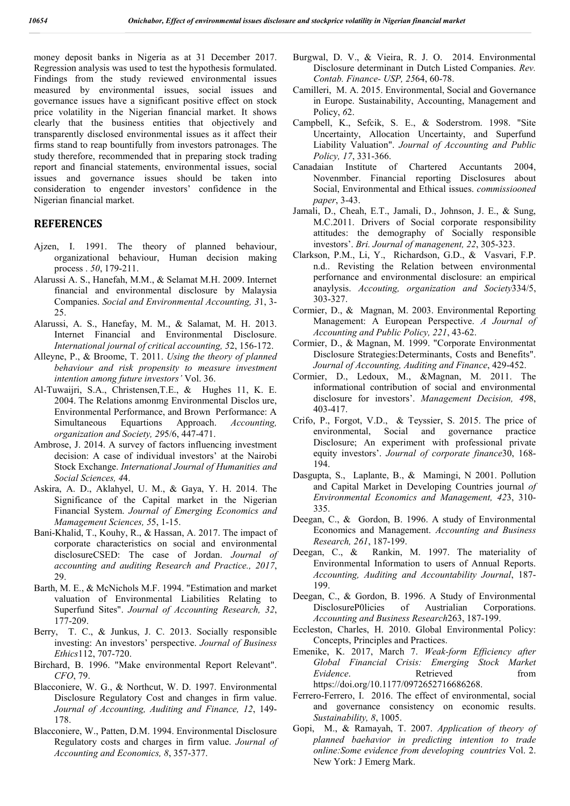money deposit banks in Nigeria as at 31 December 2017. Regression analysis was used to test the hypothesis formulated. Findings from the study reviewed environmental issues measured by environmental issues, social issues and governance issues have a significant positive effect on stock price volatility in the Nigerian financial market. It shows clearly that the business entities that objectively and transparently disclosed environmental issues as it affect their firms stand to reap bountifully from investors patronages. The study therefore, recommended that in preparing stock trading report and financial statements, environmental issues, social issues and governance issues should be taken into consideration to engender investors' confidence in the Nigerian financial market.

### **REFERENCES**

- Ajzen, I. 1991. The theory of planned behaviour, organizational behaviour, Human decision making process . *50*, 179-211.
- Alarussi A. S., Hanefah, M.M., & Selamat M.H. 2009. Internet financial and environmental disclosure by Malaysia Companies. *Social and Environmental Accounting, 3*1, 3- 25.
- Alarussi, A. S., Hanefay, M. M., & Salamat, M. H. 2013. Internet Financial and Environmental Disclosure. *International journal of critical accounting, 5*2, 156-172.
- Alleyne, P., & Broome, T. 2011. *Using the theory of planned behaviour and risk propensity to measure investment intention among future investors'* Vol. 36.
- Al-Tuwaijri, S.A., Christensen,T.E., & Hughes 11, K. E. 2004. The Relations amonmg Environmental Disclos ure, Environmental Performance, and Brown Performance: A Simultaneous Equartions Approach. *Accounting, organization and Society, 29*5/6, 447-471.
- Ambrose, J. 2014. A survey of factors influencing investment decision: A case of individual investors' at the Nairobi Stock Exchange. *International Journal of Humanities and Social Sciences, 4*4.
- Askira, A. D., Aklahyel, U. M., & Gaya, Y. H. 2014. The Significance of the Capital market in the Nigerian Financial System. *Journal of Emerging Economics and Mamagement Sciences, 5*5, 1-15.
- Bani-Khalid, T., Kouhy, R., & Hassan, A. 2017. The impact of corporate characteristics on social and environmental disclosureCSED: The case of Jordan. *Journal of accounting and auditing Research and Practice., 2017*, 29.
- Barth, M. E., & McNichols M.F. 1994. "Estimation and market valuation of Environmental Liabilities Relating to Superfund Sites". *Journal of Accounting Research, 32*, 177-209.
- Berry, T. C., & Junkus, J. C. 2013. Socially responsible investing: An investors' perspective. *Journal of Business Ethics*112, 707-720.
- Birchard, B. 1996. "Make environmental Report Relevant". *CFO*, 79.
- Blacconiere, W. G., & Northcut, W. D. 1997. Environmental Disclosure Regulatory Cost and changes in firm value. *Journal of Accounting, Auditing and Finance, 12*, 149- 178.
- Blacconiere, W., Patten, D.M. 1994. Environmental Disclosure Regulatory costs and charges in firm value. *Journal of Accounting and Economics, 8*, 357-377.
- Burgwal, D. V., & Vieira, R. J. O. 2014. Environmental Disclosure determinant in Dutch Listed Companies. *Rev. Contab. Finance- USP, 25*64, 60-78.
- Camilleri, M. A. 2015. Environmental, Social and Governance in Europe. Sustainability, Accounting, Management and Policy, *6*2.
- Campbell, K., Sefcik, S. E., & Soderstrom. 1998. "Site Uncertainty, Allocation Uncertainty, and Superfund Liability Valuation". *Journal of Accounting and Public Policy, 17*, 331-366.
- Canadaian Institute of Chartered Accuntants 2004, Novenmber. Financial reporting Disclosures about Social, Environmental and Ethical issues. *commissiooned paper*, 3-43.
- Jamali, D., Cheah, E.T., Jamali, D., Johnson, J. E., & Sung, M.C.2011. Drivers of Social corporate responsibility attitudes: the demography of Socially responsible investors'. *Bri. Journal of managenent, 22*, 305-323.
- Clarkson, P.M., Li, Y., Richardson, G.D., & Vasvari, F.P. n.d.. Revisting the Relation between environmental perfornance and environmental disclosure: an empirical anaylysis. *Accouting, organization and Society*334/5, 303-327.
- Cormier, D., & Magnan, M. 2003. Environmental Reporting Management: A European Perspective. *A Journal of Accounting and Public Policy, 221*, 43-62.
- Cormier, D., & Magnan, M. 1999. "Corporate Environmentat Disclosure Strategies:Determinants, Costs and Benefits". *Journal of Accounting, Auditing and Finance*, 429-452.
- Cormier, D., Ledoux, M., &Magnan, M. 2011. The informational contribution of social and environmental disclosure for investors'. *Management Decision, 49*8, 403-417.
- Crifo, P., Forgot, V.D., & Teyssier, S. 2015. The price of environmental, Social and governance practice Disclosure; An experiment with professional private equity investors'. *Journal of corporate finance*30, 168- 194.
- Dasgupta, S., Laplante, B., & Mamingi, N 2001. Pollution and Capital Market in Developing Countries journal *of Environmental Economics and Management, 42*3, 310- 335.
- Deegan, C., & Gordon, B. 1996. A study of Environmental Economics and Management. *Accounting and Business Research, 261*, 187-199.
- Deegan, C., & Rankin, M. 1997. The materiality of Environmental Information to users of Annual Reports. *Accounting, Auditing and Accountability Journal*, 187- 199.
- Deegan, C., & Gordon, B. 1996. A Study of Environmental DisclosureP0licies of Austrialian Corporations. *Accounting and Business Research*263, 187-199.
- Eccleston, Charles, H. 2010. Global Environmental Policy: Concepts, Principles and Practices.
- Emenike, K. 2017, March 7. *Weak-form Efficiency after Global Financial Crisis: Emerging Stock Market Evidence*. Retrieved from https://doi.org/10.1177/0972652716686268.
- Ferrero-Ferrero, I. 2016. The effect of environmental, social and governance consistency on economic results. *Sustainability, 8*, 1005.
- Gopi, M., & Ramayah, T. 2007. *Application of theory of planned baehavior in predicting intention to trade online:Some evidence from developing countries* Vol. 2. New York: J Emerg Mark.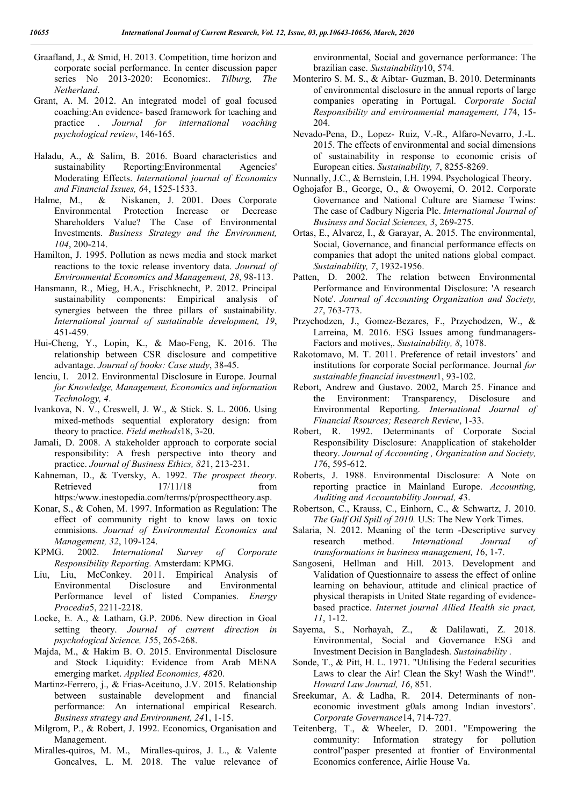- Graafland, J., & Smid, H. 2013. Competition, time horizon and corporate social performance. In center discussion paper series No 2013-2020: Economics:. *Tilburg, The Netherland*.
- Grant, A. M. 2012. An integrated model of goal focused coaching:An evidence- based framework for teaching and practice . *Journal for international voaching psychological review*, 146-165.
- Haladu, A., & Salim, B. 2016. Board characteristics and sustainability Reporting:Environmental Agencies' Moderating Effects. *International journal of Economics and Financial Issues, 6*4, 1525-1533.
- Halme, M., & Niskanen, J. 2001. Does Corporate Environmental Protection Increase or Decrease Shareholders Value? The Case of Environmental Investments. *Business Strategy and the Environment, 104*, 200-214.
- Hamilton, J. 1995. Pollution as news media and stock market reactions to the toxic release inventory data. *Journal of Environmental Economics and Management, 28*, 98-113.
- Hansmann, R., Mieg, H.A., Frischknecht, P. 2012. Principal sustainability components: Empirical analysis of synergies between the three pillars of sustainability. *International journal of sustatinable development, 19*, 451-459.
- Hui-Cheng, Y., Lopin, K., & Mao-Feng, K. 2016. The relationship between CSR disclosure and competitive advantage. *Journal of books: Case study*, 38-45.
- Ienciu, I. 2012. Environmental Disclosure in Europe. Journal *for Knowledge, Management, Economics and information Technology, 4*.
- Ivankova, N. V., Creswell, J. W., & Stick. S. L. 2006. Using mixed-methods sequential exploratory design: from theory to practice. *Field methods*18, 3-20.
- Jamali, D. 2008. A stakeholder approach to corporate social responsibility: A fresh perspective into theory and practice. *Journal of Business Ethics, 82*1, 213-231.
- Kahneman, D., & Tversky, A. 1992. *The prospect theory*. Retrieved 17/11/18 from https:/www.inestopedia.com/terms/p/prospecttheory.asp.
- Konar, S., & Cohen, M. 1997. Information as Regulation: The effect of community right to know laws on toxic emmisions. *Journal of Environmental Economics and Management, 32*, 109-124.
- KPMG. 2002. *International Survey of Corporate Responsibility Reporting.* Amsterdam: KPMG.
- Liu, Liu, McConkey. 2011. Empirical Analysis of Environmental Disclosure and Environmental Performance level of listed Companies. *Energy Procedia*5, 2211-2218.
- Locke, E. A., & Latham, G.P. 2006. New direction in Goal setting theory. *Journal of current direction in psychological Science, 15*5, 265-268.
- Majda, M., & Hakim B. O. 2015. Environmental Disclosure and Stock Liquidity: Evidence from Arab MENA emerging market. *Applied Economics, 48*20.
- Martinz-Ferrero, j., & Frias-Aceituno, J.V. 2015. Relationship between sustainable development and financial performance: An international empirical Research. *Business strategy and Environment, 24*1, 1-15.
- Milgrom, P., & Robert, J. 1992. Economics, Organisation and Management.
- Miralles-quiros, M. M., Miralles-quiros, J. L., & Valente Goncalves, L. M. 2018. The value relevance of

environmental, Social and governance performance: The brazilian case. *Sustainability*10, 574.

- Monteriro S. M. S., & Aibtar- Guzman, B. 2010. Determinants of environmental disclosure in the annual reports of large companies operating in Portugal. *Corporate Social Responsibility and environmental management, 17*4, 15- 204.
- Nevado-Pena, D., Lopez- Ruiz, V.-R., Alfaro-Nevarro, J.-L. 2015. The effects of environmental and social dimensions of sustainability in response to economic crisis of European cities. *Sustainability, 7*, 8255-8269.
- Nunnally, J.C., & Bernstein, I.H. 1994. Psychological Theory.
- Oghojafor B., George, O., & Owoyemi, O. 2012. Corporate Governance and National Culture are Siamese Twins: The case of Cadbury Nigeria Plc. *International Journal of Business and Social Sciences, 3*, 269-275.
- Ortas, E., Alvarez, I., & Garayar, A. 2015. The environmental, Social, Governance, and financial performance effects on companies that adopt the united nations global compact. *Sustainability, 7*, 1932-1956.
- Patten, D. 2002. The relation between Environmental Performance and Environmental Disclosure: 'A research Note'. *Journal of Accounting Organization and Society, 27*, 763-773.
- Przychodzen, J., Gomez-Bezares, F., Przychodzen, W., & Larreina, M. 2016. ESG Issues among fundmanagers-Factors and motives,. *Sustainability, 8*, 1078.
- Rakotomavo, M. T. 2011. Preference of retail investors' and institutions for corporate Social performance. Journal *for sustainable financial investment*1, 93-102.
- Rebort, Andrew and Gustavo. 2002, March 25. Finance and the Environment: Transparency, Disclosure and Environmental Reporting. *International Journal of Financial Rsources; Research Review*, 1-33.
- Robert, R. 1992. Determinants of Corporate Social Responsibility Disclosure: Anapplication of stakeholder theory. *Journal of Accounting , Organization and Society, 17*6, 595-612.
- Roberts, J. 1988. Environmental Disclosure: A Note on reporting practice in Mainland Europe. *Accounting, Auditing and Accountability Journal, 4*3.
- Robertson, C., Krauss, C., Einhorn, C., & Schwartz, J. 2010. *The Gulf Oil Spill of 2010.* U.S: The New York Times.
- Salaria, N. 2012. Meaning of the term -Descriptive survey research method. *International Journal of transformations in business management, 1*6, 1-7.
- Sangoseni, Hellman and Hill. 2013. Development and Validation of Questionnaire to assess the effect of online learning on behaviour, attitude and clinical practice of physical therapists in United State regarding of evidencebased practice. *Internet journal Allied Health sic pract, 11*, 1-12.
- Sayema, S., Norhayah, Z., & Dalilawati, Z. 2018. Environmental, Social and Governance ESG and Investment Decision in Bangladesh. *Sustainability* .
- Sonde, T., & Pitt, H. L. 1971. "Utilising the Federal securities Laws to clear the Air! Clean the Sky! Wash the Wind!". *Howard Law Journal, 16*, 851.
- Sreekumar, A. & Ladha, R. 2014. Determinants of noneconomic investment g0als among Indian investors'. *Corporate Governance*14, 714-727.
- Teitenberg, T., & Wheeler, D. 2001. "Empowering the community: Information strategy for pollution control"pasper presented at frontier of Environmental Economics conference, Airlie House Va.